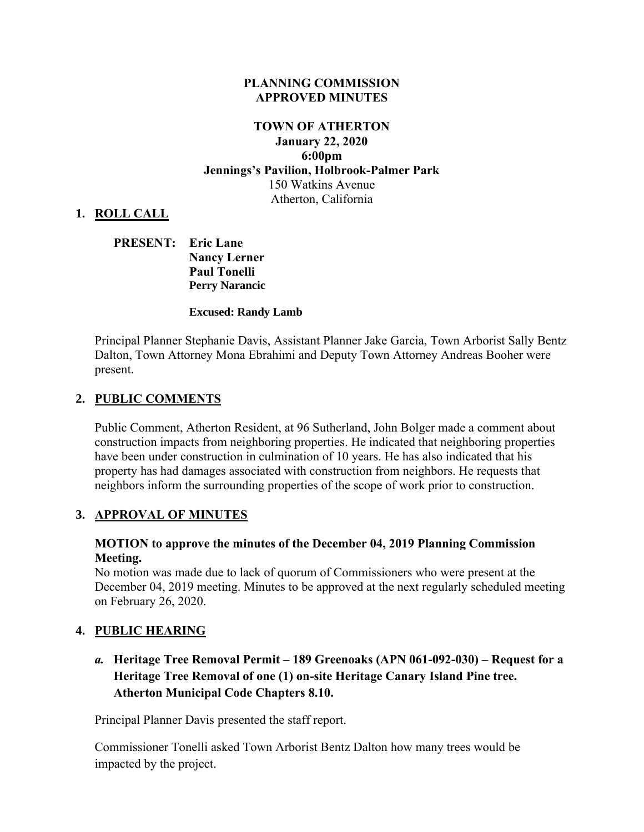#### **PLANNING COMMISSION APPROVED MINUTES**

### **TOWN OF ATHERTON January 22, 2020 6:00pm Jennings's Pavilion, Holbrook-Palmer Park** 150 Watkins Avenue Atherton, California

### **1. ROLL CALL**

**PRESENT: Eric Lane Nancy Lerner Paul Tonelli Perry Narancic**

#### **Excused: Randy Lamb**

Principal Planner Stephanie Davis, Assistant Planner Jake Garcia, Town Arborist Sally Bentz Dalton, Town Attorney Mona Ebrahimi and Deputy Town Attorney Andreas Booher were present.

### **2. PUBLIC COMMENTS**

Public Comment, Atherton Resident, at 96 Sutherland, John Bolger made a comment about construction impacts from neighboring properties. He indicated that neighboring properties have been under construction in culmination of 10 years. He has also indicated that his property has had damages associated with construction from neighbors. He requests that neighbors inform the surrounding properties of the scope of work prior to construction.

#### **3. APPROVAL OF MINUTES**

#### **MOTION to approve the minutes of the December 04, 2019 Planning Commission Meeting.**

No motion was made due to lack of quorum of Commissioners who were present at the December 04, 2019 meeting. Minutes to be approved at the next regularly scheduled meeting on February 26, 2020.

#### **4. PUBLIC HEARING**

*a.* **Heritage Tree Removal Permit – 189 Greenoaks (APN 061-092-030) – Request for a Heritage Tree Removal of one (1) on-site Heritage Canary Island Pine tree. Atherton Municipal Code Chapters 8.10.** 

Principal Planner Davis presented the staff report.

Commissioner Tonelli asked Town Arborist Bentz Dalton how many trees would be impacted by the project.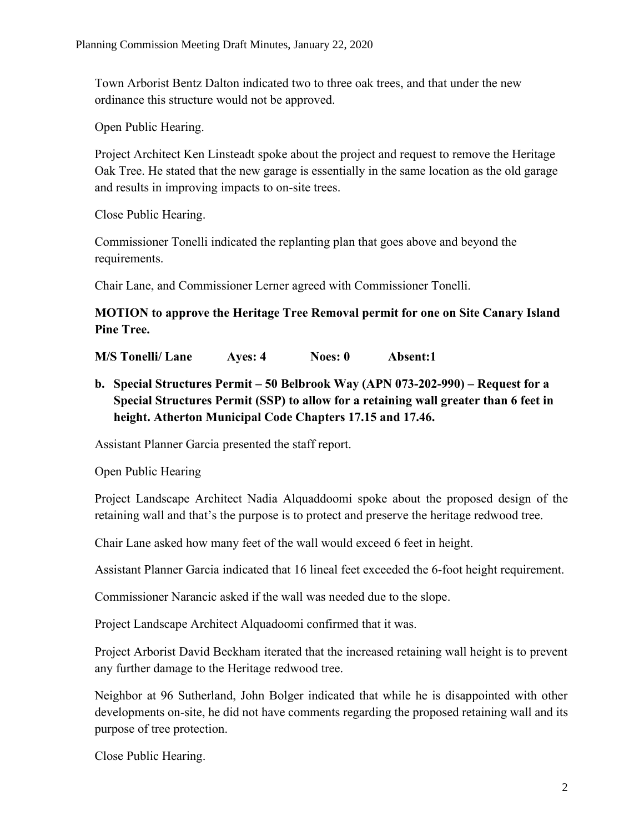Town Arborist Bentz Dalton indicated two to three oak trees, and that under the new ordinance this structure would not be approved.

Open Public Hearing.

Project Architect Ken Linsteadt spoke about the project and request to remove the Heritage Oak Tree. He stated that the new garage is essentially in the same location as the old garage and results in improving impacts to on-site trees.

Close Public Hearing.

Commissioner Tonelli indicated the replanting plan that goes above and beyond the requirements.

Chair Lane, and Commissioner Lerner agreed with Commissioner Tonelli.

**MOTION to approve the Heritage Tree Removal permit for one on Site Canary Island Pine Tree.**

**M/S Tonelli/ Lane Ayes: 4 Noes: 0 Absent:1**

**b. Special Structures Permit – 50 Belbrook Way (APN 073-202-990) – Request for a Special Structures Permit (SSP) to allow for a retaining wall greater than 6 feet in height. Atherton Municipal Code Chapters 17.15 and 17.46.**

Assistant Planner Garcia presented the staff report.

Open Public Hearing

Project Landscape Architect Nadia Alquaddoomi spoke about the proposed design of the retaining wall and that's the purpose is to protect and preserve the heritage redwood tree.

Chair Lane asked how many feet of the wall would exceed 6 feet in height.

Assistant Planner Garcia indicated that 16 lineal feet exceeded the 6-foot height requirement.

Commissioner Narancic asked if the wall was needed due to the slope.

Project Landscape Architect Alquadoomi confirmed that it was.

Project Arborist David Beckham iterated that the increased retaining wall height is to prevent any further damage to the Heritage redwood tree.

Neighbor at 96 Sutherland, John Bolger indicated that while he is disappointed with other developments on-site, he did not have comments regarding the proposed retaining wall and its purpose of tree protection.

Close Public Hearing.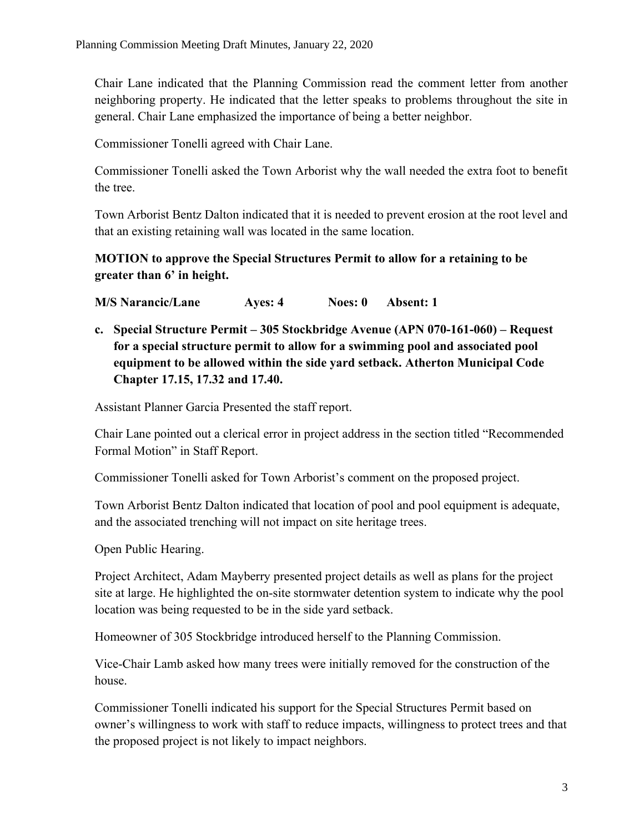Chair Lane indicated that the Planning Commission read the comment letter from another neighboring property. He indicated that the letter speaks to problems throughout the site in general. Chair Lane emphasized the importance of being a better neighbor.

Commissioner Tonelli agreed with Chair Lane.

Commissioner Tonelli asked the Town Arborist why the wall needed the extra foot to benefit the tree.

Town Arborist Bentz Dalton indicated that it is needed to prevent erosion at the root level and that an existing retaining wall was located in the same location.

# **MOTION to approve the Special Structures Permit to allow for a retaining to be greater than 6' in height.**

**M/S Narancic/Lane Ayes: 4 Noes: 0 Absent: 1**

**c. Special Structure Permit – 305 Stockbridge Avenue (APN 070-161-060) – Request for a special structure permit to allow for a swimming pool and associated pool equipment to be allowed within the side yard setback. Atherton Municipal Code Chapter 17.15, 17.32 and 17.40.**

Assistant Planner Garcia Presented the staff report.

Chair Lane pointed out a clerical error in project address in the section titled "Recommended Formal Motion" in Staff Report.

Commissioner Tonelli asked for Town Arborist's comment on the proposed project.

Town Arborist Bentz Dalton indicated that location of pool and pool equipment is adequate, and the associated trenching will not impact on site heritage trees.

Open Public Hearing.

Project Architect, Adam Mayberry presented project details as well as plans for the project site at large. He highlighted the on-site stormwater detention system to indicate why the pool location was being requested to be in the side yard setback.

Homeowner of 305 Stockbridge introduced herself to the Planning Commission.

Vice-Chair Lamb asked how many trees were initially removed for the construction of the house.

Commissioner Tonelli indicated his support for the Special Structures Permit based on owner's willingness to work with staff to reduce impacts, willingness to protect trees and that the proposed project is not likely to impact neighbors.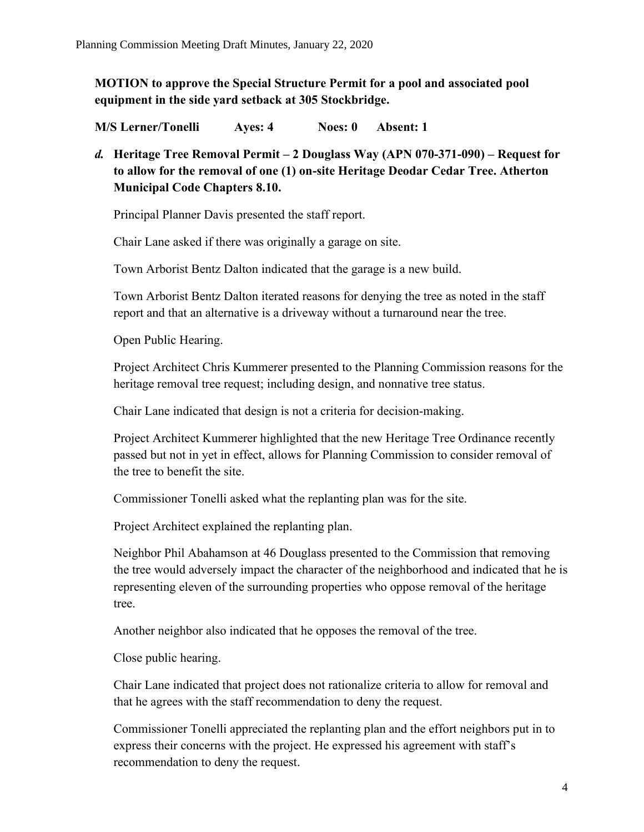**MOTION to approve the Special Structure Permit for a pool and associated pool equipment in the side yard setback at 305 Stockbridge.** 

**M/S Lerner/Tonelli Ayes: 4 Noes: 0 Absent: 1**

*d.* **Heritage Tree Removal Permit – 2 Douglass Way (APN 070-371-090) – Request for to allow for the removal of one (1) on-site Heritage Deodar Cedar Tree. Atherton Municipal Code Chapters 8.10.**

Principal Planner Davis presented the staff report.

Chair Lane asked if there was originally a garage on site.

Town Arborist Bentz Dalton indicated that the garage is a new build.

Town Arborist Bentz Dalton iterated reasons for denying the tree as noted in the staff report and that an alternative is a driveway without a turnaround near the tree.

Open Public Hearing.

Project Architect Chris Kummerer presented to the Planning Commission reasons for the heritage removal tree request; including design, and nonnative tree status.

Chair Lane indicated that design is not a criteria for decision-making.

Project Architect Kummerer highlighted that the new Heritage Tree Ordinance recently passed but not in yet in effect, allows for Planning Commission to consider removal of the tree to benefit the site.

Commissioner Tonelli asked what the replanting plan was for the site.

Project Architect explained the replanting plan.

Neighbor Phil Abahamson at 46 Douglass presented to the Commission that removing the tree would adversely impact the character of the neighborhood and indicated that he is representing eleven of the surrounding properties who oppose removal of the heritage tree.

Another neighbor also indicated that he opposes the removal of the tree.

Close public hearing.

Chair Lane indicated that project does not rationalize criteria to allow for removal and that he agrees with the staff recommendation to deny the request.

Commissioner Tonelli appreciated the replanting plan and the effort neighbors put in to express their concerns with the project. He expressed his agreement with staff's recommendation to deny the request.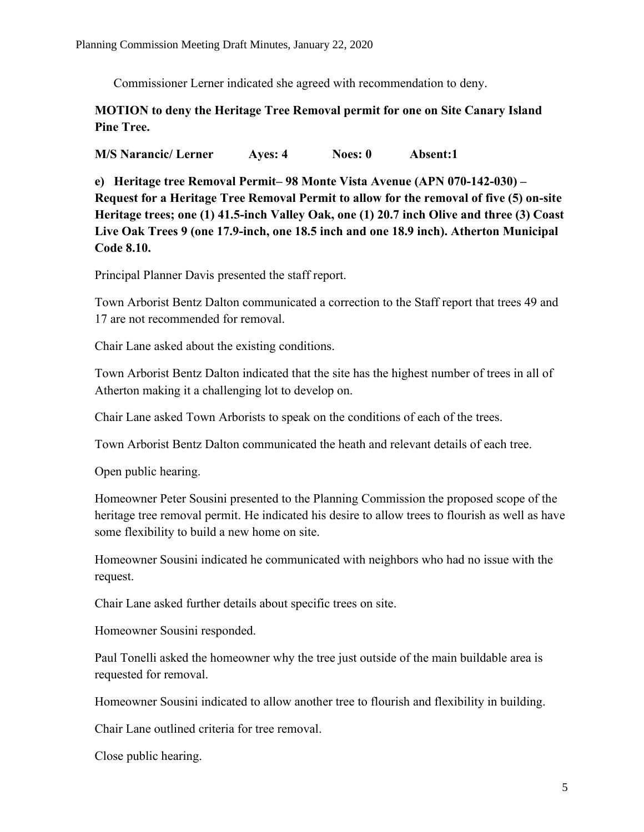Commissioner Lerner indicated she agreed with recommendation to deny.

## **MOTION to deny the Heritage Tree Removal permit for one on Site Canary Island Pine Tree.**

**M/S Narancic/ Lerner Ayes: 4 Noes: 0 Absent:1**

**e) Heritage tree Removal Permit– 98 Monte Vista Avenue (APN 070-142-030) – Request for a Heritage Tree Removal Permit to allow for the removal of five (5) on-site Heritage trees; one (1) 41.5-inch Valley Oak, one (1) 20.7 inch Olive and three (3) Coast Live Oak Trees 9 (one 17.9-inch, one 18.5 inch and one 18.9 inch). Atherton Municipal Code 8.10.**

Principal Planner Davis presented the staff report.

Town Arborist Bentz Dalton communicated a correction to the Staff report that trees 49 and 17 are not recommended for removal.

Chair Lane asked about the existing conditions.

Town Arborist Bentz Dalton indicated that the site has the highest number of trees in all of Atherton making it a challenging lot to develop on.

Chair Lane asked Town Arborists to speak on the conditions of each of the trees.

Town Arborist Bentz Dalton communicated the heath and relevant details of each tree.

Open public hearing.

Homeowner Peter Sousini presented to the Planning Commission the proposed scope of the heritage tree removal permit. He indicated his desire to allow trees to flourish as well as have some flexibility to build a new home on site.

Homeowner Sousini indicated he communicated with neighbors who had no issue with the request.

Chair Lane asked further details about specific trees on site.

Homeowner Sousini responded.

Paul Tonelli asked the homeowner why the tree just outside of the main buildable area is requested for removal.

Homeowner Sousini indicated to allow another tree to flourish and flexibility in building.

Chair Lane outlined criteria for tree removal.

Close public hearing.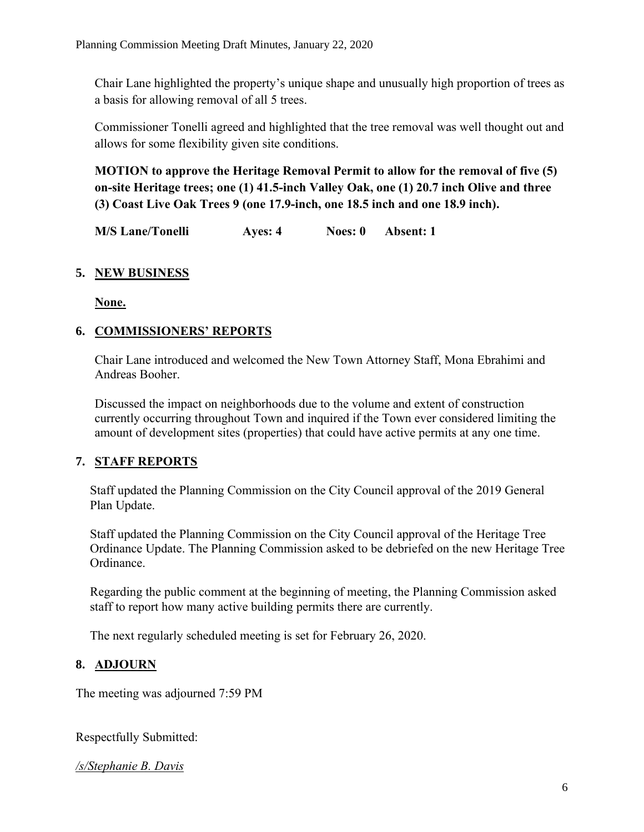Chair Lane highlighted the property's unique shape and unusually high proportion of trees as a basis for allowing removal of all 5 trees.

Commissioner Tonelli agreed and highlighted that the tree removal was well thought out and allows for some flexibility given site conditions.

**MOTION to approve the Heritage Removal Permit to allow for the removal of five (5) on-site Heritage trees; one (1) 41.5-inch Valley Oak, one (1) 20.7 inch Olive and three (3) Coast Live Oak Trees 9 (one 17.9-inch, one 18.5 inch and one 18.9 inch).** 

**M/S Lane/Tonelli Ayes: 4 Noes: 0 Absent: 1**

## **5. NEW BUSINESS**

**None.** 

## **6. COMMISSIONERS' REPORTS**

Chair Lane introduced and welcomed the New Town Attorney Staff, Mona Ebrahimi and Andreas Booher.

Discussed the impact on neighborhoods due to the volume and extent of construction currently occurring throughout Town and inquired if the Town ever considered limiting the amount of development sites (properties) that could have active permits at any one time.

# **7. STAFF REPORTS**

Staff updated the Planning Commission on the City Council approval of the 2019 General Plan Update.

Staff updated the Planning Commission on the City Council approval of the Heritage Tree Ordinance Update. The Planning Commission asked to be debriefed on the new Heritage Tree Ordinance.

Regarding the public comment at the beginning of meeting, the Planning Commission asked staff to report how many active building permits there are currently.

The next regularly scheduled meeting is set for February 26, 2020.

## **8. ADJOURN**

The meeting was adjourned 7:59 PM

Respectfully Submitted:

*/s/Stephanie B. Davis*